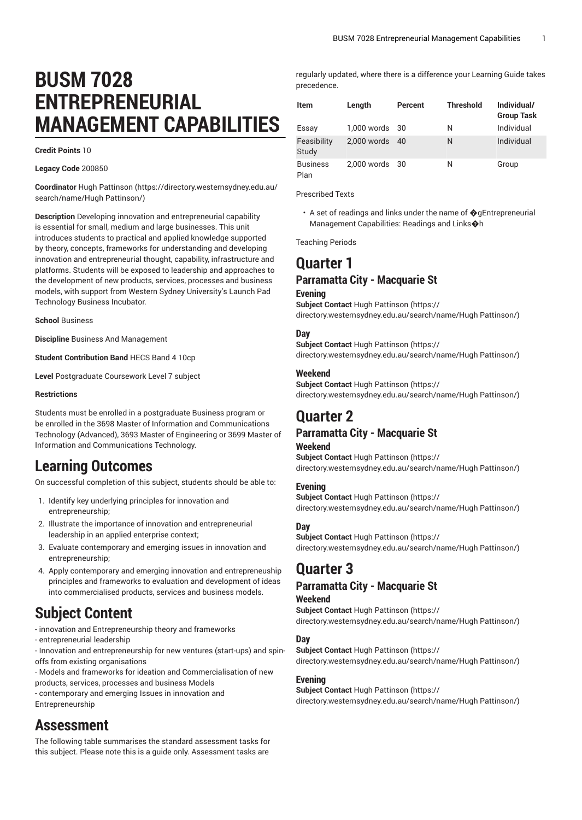# **BUSM 7028 ENTREPRENEURIAL MANAGEMENT CAPABILITIES**

**Credit Points** 10

**Legacy Code** 200850

**Coordinator** Hugh [Pattinson \(https://directory.westernsydney.edu.au/](https://directory.westernsydney.edu.au/search/name/Hugh Pattinson/) [search/name/Hugh](https://directory.westernsydney.edu.au/search/name/Hugh Pattinson/) Pattinson/)

**Description** Developing innovation and entrepreneurial capability is essential for small, medium and large businesses. This unit introduces students to practical and applied knowledge supported by theory, concepts, frameworks for understanding and developing innovation and entrepreneurial thought, capability, infrastructure and platforms. Students will be exposed to leadership and approaches to the development of new products, services, processes and business models, with support from Western Sydney University's Launch Pad Technology Business Incubator.

**School** Business

**Discipline** Business And Management

**Student Contribution Band** HECS Band 4 10cp

**Level** Postgraduate Coursework Level 7 subject

#### **Restrictions**

Students must be enrolled in a postgraduate Business program or be enrolled in the 3698 Master of Information and Communications Technology (Advanced), 3693 Master of Engineering or 3699 Master of Information and Communications Technology.

## **Learning Outcomes**

On successful completion of this subject, students should be able to:

- 1. Identify key underlying principles for innovation and entrepreneurship;
- 2. Illustrate the importance of innovation and entrepreneurial leadership in an applied enterprise context;
- 3. Evaluate contemporary and emerging issues in innovation and entrepreneurship;
- 4. Apply contemporary and emerging innovation and entrepreneuship principles and frameworks to evaluation and development of ideas into commercialised products, services and business models.

## **Subject Content**

- innovation and Entrepreneurship theory and frameworks

- entrepreneurial leadership
- Innovation and entrepreneurship for new ventures (start-ups) and spinoffs from existing organisations
- Models and frameworks for ideation and Commercialisation of new products, services, processes and business Models
- contemporary and emerging Issues in innovation and Entrepreneurship

## **Assessment**

The following table summarises the standard assessment tasks for this subject. Please note this is a guide only. Assessment tasks are

regularly updated, where there is a difference your Learning Guide takes precedence.

| <b>Item</b>             | Length         | Percent | <b>Threshold</b> | Individual/<br><b>Group Task</b> |
|-------------------------|----------------|---------|------------------|----------------------------------|
| Essay                   | 1,000 words    | 30      | N                | Individual                       |
| Feasibility<br>Study    | $2.000$ words  | 40      | N                | Individual                       |
| <b>Business</b><br>Plan | 2,000 words 30 |         | N                | Group                            |

Prescribed Texts

• A set of readings and links under the name of �gEntrepreneurial Management Capabilities: Readings and Links�h

Teaching Periods

## **Quarter 1**

### **Parramatta City - Macquarie St**

#### **Evening**

**Subject Contact** Hugh [Pattinson \(https://](https://directory.westernsydney.edu.au/search/name/Hugh Pattinson/) [directory.westernsydney.edu.au/search/name/Hugh](https://directory.westernsydney.edu.au/search/name/Hugh Pattinson/) Pattinson/)

#### **Day**

**Subject Contact** Hugh [Pattinson \(https://](https://directory.westernsydney.edu.au/search/name/Hugh Pattinson/) [directory.westernsydney.edu.au/search/name/Hugh](https://directory.westernsydney.edu.au/search/name/Hugh Pattinson/) Pattinson/)

#### **Weekend**

**Subject Contact** Hugh [Pattinson \(https://](https://directory.westernsydney.edu.au/search/name/Hugh Pattinson/) [directory.westernsydney.edu.au/search/name/Hugh](https://directory.westernsydney.edu.au/search/name/Hugh Pattinson/) Pattinson/)

## **Quarter 2**

### **Parramatta City - Macquarie St**

#### **Weekend**

**Subject Contact** Hugh [Pattinson \(https://](https://directory.westernsydney.edu.au/search/name/Hugh Pattinson/) [directory.westernsydney.edu.au/search/name/Hugh](https://directory.westernsydney.edu.au/search/name/Hugh Pattinson/) Pattinson/)

#### **Evening**

**Subject Contact** Hugh [Pattinson \(https://](https://directory.westernsydney.edu.au/search/name/Hugh Pattinson/) [directory.westernsydney.edu.au/search/name/Hugh](https://directory.westernsydney.edu.au/search/name/Hugh Pattinson/) Pattinson/)

#### **Day**

**Subject Contact** Hugh [Pattinson \(https://](https://directory.westernsydney.edu.au/search/name/Hugh Pattinson/) [directory.westernsydney.edu.au/search/name/Hugh](https://directory.westernsydney.edu.au/search/name/Hugh Pattinson/) Pattinson/)

## **Quarter 3**

### **Parramatta City - Macquarie St**

#### **Weekend**

**Subject Contact** Hugh [Pattinson \(https://](https://directory.westernsydney.edu.au/search/name/Hugh Pattinson/) [directory.westernsydney.edu.au/search/name/Hugh](https://directory.westernsydney.edu.au/search/name/Hugh Pattinson/) Pattinson/)

#### **Day**

**Subject Contact** Hugh [Pattinson \(https://](https://directory.westernsydney.edu.au/search/name/Hugh Pattinson/) [directory.westernsydney.edu.au/search/name/Hugh](https://directory.westernsydney.edu.au/search/name/Hugh Pattinson/) Pattinson/)

#### **Evening**

**Subject Contact** Hugh [Pattinson \(https://](https://directory.westernsydney.edu.au/search/name/Hugh Pattinson/) [directory.westernsydney.edu.au/search/name/Hugh](https://directory.westernsydney.edu.au/search/name/Hugh Pattinson/) Pattinson/)